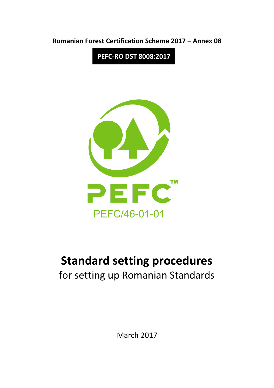

**PEFC-RO DST 8008:2017**



# **Standard setting procedures**

for setting up Romanian Standards

March 2017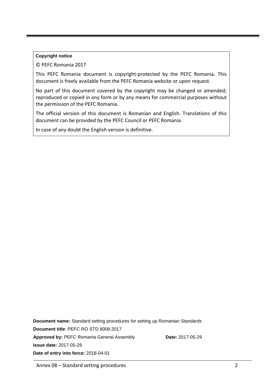#### **Copyright notice**

© PEFC Romania 2017

This PEFC Romania document is copyright-protected by the PEFC Romania. This document is freely available from the PEFC Romania website or upon request.

No part of this document covered by the copyright may be changed or amended; reproduced or copied in any form or by any means for commercial purposes without the permission of the PEFC Romania.

The official version of this document is Romanian and English. Translations of this document can be provided by the PEFC Council or PEFC Romania.

In case of any doubt the English version is definitive.

**Document name:** Standard setting procedures for setting up Romanian Standards **Document title**: PEFC RO STD 8008:2017 Approved by: PEFC Romania General Assembly **Date:** 2017-05-29 **Issue date:** 2017-05-29 **Date of entry into force:** 2018-04-01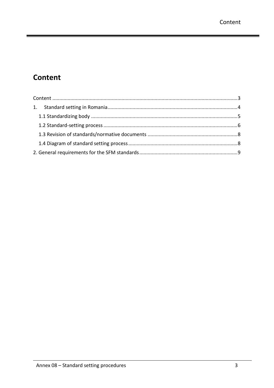۰

# <span id="page-2-0"></span>**Content**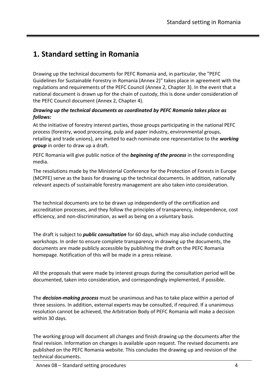# <span id="page-3-0"></span>**1. Standard setting in Romania**

Drawing up the technical documents for PEFC Romania and, in particular, the "PEFC Guidelines for Sustainable Forestry in Romania (Annex 2)" takes place in agreement with the regulations and requirements of the PEFC Council (Annex 2, Chapter 3). In the event that a national document is drawn up for the chain of custody, this is done under consideration of the PEFC Council document (Annex 2, Chapter 4).

#### *Drawing up the technical documents as coordinated by PEFC Romania takes place as follows:*

At the initiative of forestry interest parties, those groups participating in the national PEFC process (forestry, wood processing, pulp and paper industry, environmental groups, retailing and trade unions), are invited to each nominate one representative to the *working group* in order to draw up a draft.

PEFC Romania will give public notice of the *beginning of the process* in the corresponding media.

The resolutions made by the Ministerial Conference for the Protection of Forests in Europe (MCPFE) serve as the basis for drawing up the technical documents. In addition, nationally relevant aspects of sustainable forestry management are also taken into consideration.

The technical documents are to be drawn up independently of the certification and accreditation processes, and they follow the principles of transparency, independence, cost efficiency, and non-discrimination, as well as being on a voluntary basis.

The draft is subject to *public consultation* for 60 days, which may also include conducting workshops. In order to ensure complete transparency in drawing up the documents, the documents are made publicly accessible by publishing the draft on the PEFC Romania homepage. Notification of this will be made in a press release.

All the proposals that were made by interest groups during the consultation period will be documented, taken into consideration, and correspondingly implemented, if possible.

The *decision-making process* must be unanimous and has to take place within a period of three sessions. In addition, external experts may be consulted, if required. If a unanimous resolution cannot be achieved, the Arbitration Body of PEFC Romania will make a decision within 30 days.

The working group will document all changes and finish drawing up the documents after the final revision. Information on changes is available upon request. The revised documents are published on the PEFC Romania website. This concludes the drawing up and revision of the technical documents.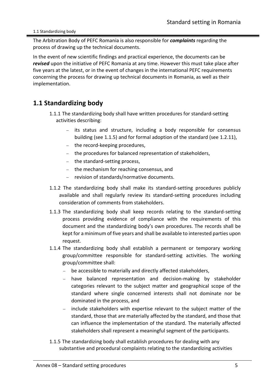#### 1.1 Standardizing body

The Arbitration Body of PEFC Romania is also responsible for *complaints* regarding the process of drawing up the technical documents.

In the event of new scientific findings and practical experience, the documents can be *revised* upon the initiative of PEFC Romania at any time. However this must take place after five years at the latest, or in the event of changes in the international PEFC requirements concerning the process for drawing up technical documents in Romania, as well as their implementation.

## <span id="page-4-0"></span>**1.1 Standardizing body**

- 1.1.1 The standardizing body shall have written procedures for standard-setting activities describing:
	- − its status and structure, including a body responsible for consensus building (see 1.1.5) and for formal adoption of the standard (see 1.2.11),
	- − the record-keeping procedures,
	- − the procedures for balanced representation of stakeholders,
	- − the standard-setting process,
	- − the mechanism for reaching consensus, and
	- − revision of standards/normative documents.
- 1.1.2 The standardizing body shall make its standard-setting procedures publicly available and shall regularly review its standard-setting procedures including consideration of comments from stakeholders.
- 1.1.3 The standardizing body shall keep records relating to the standard-setting process providing evidence of compliance with the requirements of this document and the standardizing body's own procedures. The records shall be kept for a minimum of five years and shall be available to interested parties upon request.
- 1.1.4 The standardizing body shall establish a permanent or temporary working group/committee responsible for standard-setting activities. The working group/committee shall:
	- − be accessible to materially and directly affected stakeholders,
	- − have balanced representation and decision-making by stakeholder categories relevant to the subject matter and geographical scope of the standard where single concerned interests shall not dominate nor be dominated in the process, and
	- − include stakeholders with expertise relevant to the subject matter of the standard, those that are materially affected by the standard, and those that can influence the implementation of the standard. The materially affected stakeholders shall represent a meaningful segment of the participants.
- 1.1.5 The standardizing body shall establish procedures for dealing with any substantive and procedural complaints relating to the standardizing activities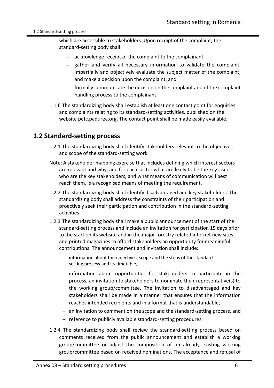which are accessible to stakeholders. Upon receipt of the complaint, the standard-setting body shall:

- acknowledge receipt of the complaint to the complainant,
- gather and verify all necessary information to validate the complaint, impartially and objectively evaluate the subject matter of the complaint, and make a decision upon the complaint, and
- − formally communicate the decision on the complaint and of the complaint handling process to the complainant.
- 1.1.6 The standardizing body shall establish at least one contact point for enquiries and complaints relating to its standard-setting activities, published on the website pefc.padurea.org. The contact point shall be made easily available.

## <span id="page-5-0"></span>**1.2 Standard-setting process**

- 1.2.1 The standardizing body shall identify stakeholders relevant to the objectives and scope of the standard-setting work.
- Note: A stakeholder mapping exercise that includes defining which interest sectors are relevant and why, and for each sector what are likely to be the key issues, who are the key stakeholders, and what means of communication will best reach them, is a recognised means of meeting the requirement.
- 1.2.2 The standardizing body shall identify disadvantaged and key stakeholders. The standardizing body shall address the constraints of their participation and proactively seek their participation and contribution in the standard-setting activities.
- 1.2.3 The standardizing body shall make a public announcement of the start of the standard-setting process and include an invitation for participation 15 days prior to the start on its website and in the major forestry related internet new sites and printed magazines to afford stakeholders an opportunity for meaningful contributions. The announcement and invitation shall include:
	- − information about the objectives, scope and the steps of the standardsetting process and its timetable,
	- − information about opportunities for stakeholders to participate in the process, an invitation to stakeholders to nominate their representative(s) to the working group/committee. The invitation to disadvantaged and key stakeholders shall be made in a manner that ensures that the information reaches intended recipients and in a format that is understandable,
	- − an invitation to comment on the scope and the standard-setting process, and
	- − reference to publicly available standard-setting procedures.
- 1.2.4 The standardizing body shall review the standard-setting process based on comments received from the public announcement and establish a working group/committee or adjust the composition of an already existing working group/committee based on received nominations. The acceptance and refusal of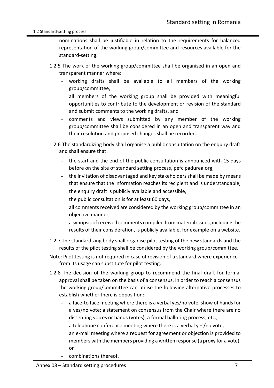#### 1.2 Standard-setting process

nominations shall be justifiable in relation to the requirements for balanced representation of the working group/committee and resources available for the standard-setting.

- 1.2.5 The work of the working group/committee shall be organised in an open and transparent manner where:
	- − working drafts shall be available to all members of the working group/committee,
	- − all members of the working group shall be provided with meaningful opportunities to contribute to the development or revision of the standard and submit comments to the working drafts, and
	- − comments and views submitted by any member of the working group/committee shall be considered in an open and transparent way and their resolution and proposed changes shall be recorded.
- 1.2.6 The standardizing body shall organise a public consultation on the enquiry draft and shall ensure that:
	- the start and the end of the public consultation is announced with 15 days before on the site of standard setting process, pefc.padurea.org,
	- the invitation of disadvantaged and key stakeholders shall be made by means that ensure that the information reaches its recipient and is understandable,
	- − the enquiry draft is publicly available and accessible,
	- the public consultation is for at least 60 days,
	- all comments received are considered by the working group/committee in an objective manner,
	- − a synopsis of received comments compiled from material issues, including the results of their consideration, is publicly available, for example on a website.
- 1.2.7 The standardizing body shall organise pilot testing of the new standards and the results of the pilot testing shall be considered by the working group/committee.
- Note: Pilot testing is not required in case of revision of a standard where experience from its usage can substitute for pilot testing.
- 1.2.8 The decision of the working group to recommend the final draft for formal approval shall be taken on the basis of a consensus. In order to reach a consensus the working group/committee can utilise the following alternative processes to establish whether there is opposition:
	- a face-to face meeting where there is a verbal yes/no vote, show of hands for a yes/no vote; a statement on consensus from the Chair where there are no dissenting voices or hands (votes); a formal balloting process, etc.,
	- a telephone conference meeting where there is a verbal yes/no vote,
	- an e-mail meeting where a request for agreement or objection is provided to members with the members providing a written response (a proxy for a vote), or
	- − combinations thereof.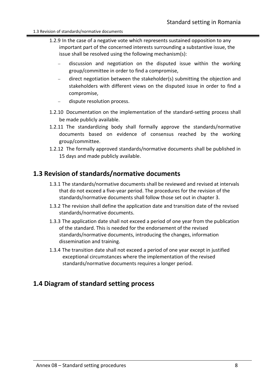- 1.2.9 In the case of a negative vote which represents sustained opposition to any important part of the concerned interests surrounding a substantive issue, the issue shall be resolved using the following mechanism(s):
	- − discussion and negotiation on the disputed issue within the working group/committee in order to find a compromise,
	- − direct negotiation between the stakeholder(s) submitting the objection and stakeholders with different views on the disputed issue in order to find a compromise,
	- dispute resolution process.
- 1.2.10 Documentation on the implementation of the standard-setting process shall be made publicly available.
- 1.2.11 The standardizing body shall formally approve the standards/normative documents based on evidence of consensus reached by the working group/committee.
- 1.2.12 The formally approved standards/normative documents shall be published in 15 days and made publicly available.

## <span id="page-7-0"></span>**1.3 Revision of standards/normative documents**

- 1.3.1 The standards/normative documents shall be reviewed and revised at intervals that do not exceed a five-year period. The procedures for the revision of the standards/normative documents shall follow those set out in chapter 3.
- 1.3.2 The revision shall define the application date and transition date of the revised standards/normative documents.
- 1.3.3 The application date shall not exceed a period of one year from the publication of the standard. This is needed for the endorsement of the revised standards/normative documents, introducing the changes, information dissemination and training.
- 1.3.4 The transition date shall not exceed a period of one year except in justified exceptional circumstances where the implementation of the revised standards/normative documents requires a longer period.

## <span id="page-7-1"></span>**1.4 Diagram of standard setting process**